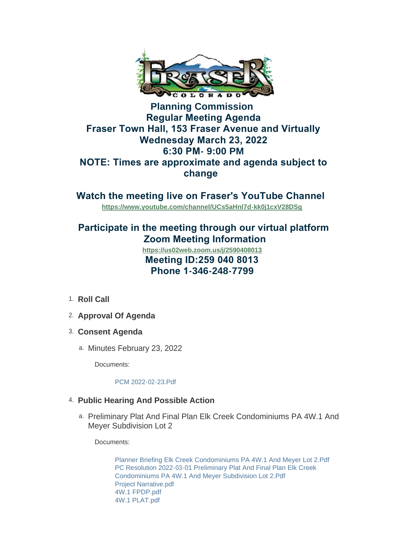

## **Planning Commission Regular Meeting Agenda Fraser Town Hall, 153 Fraser Avenue and Virtually Wednesday March 23, 2022 6:30 PM- 9:00 PM NOTE: Times are approximate and agenda subject to change**

**Watch the meeting live on Fraser's YouTube Channel** 

**<https://www.youtube.com/channel/UCs5aHnl7d-kk0j1cxV28DSg>**

# **Participate in the meeting through our virtual platform Zoom Meeting Information**

 **Meeting ID:259 040 8013 Phone 1-346-248-7799 <https://us02web.zoom.us/j/2590408013>**

- 1. Roll Call
- **Approval Of Agenda** 2.
- **Consent Agenda** 3.
	- a. Minutes February 23, 2022

Documents:

#### [PCM 2022-02-23.Pdf](https://www.frasercolorado.com/AgendaCenter/ViewFile/Item/3949?fileID=3528)

### **Public Hearing And Possible Action** 4.

a. Preliminary Plat And Final Plan Elk Creek Condominiums PA 4W.1 And Meyer Subdivision Lot 2

Documents:

[Planner Briefing Elk Creek Condominiums PA 4W.1 And Meyer Lot 2.Pdf](https://www.frasercolorado.com/AgendaCenter/ViewFile/Item/3948?fileID=3526) [PC Resolution 2022-03-01 Preliminary Plat And Final Plan Elk Creek](https://www.frasercolorado.com/AgendaCenter/ViewFile/Item/3948?fileID=3521)  Condominiums PA 4W.1 And Meyer Subdivision Lot 2.Pdf [Project Narrative.pdf](https://www.frasercolorado.com/AgendaCenter/ViewFile/Item/3948?fileID=3522) [4W.1 FPDP.pdf](https://www.frasercolorado.com/AgendaCenter/ViewFile/Item/3948?fileID=3507) [4W.1 PLAT.pdf](https://www.frasercolorado.com/AgendaCenter/ViewFile/Item/3948?fileID=3508)